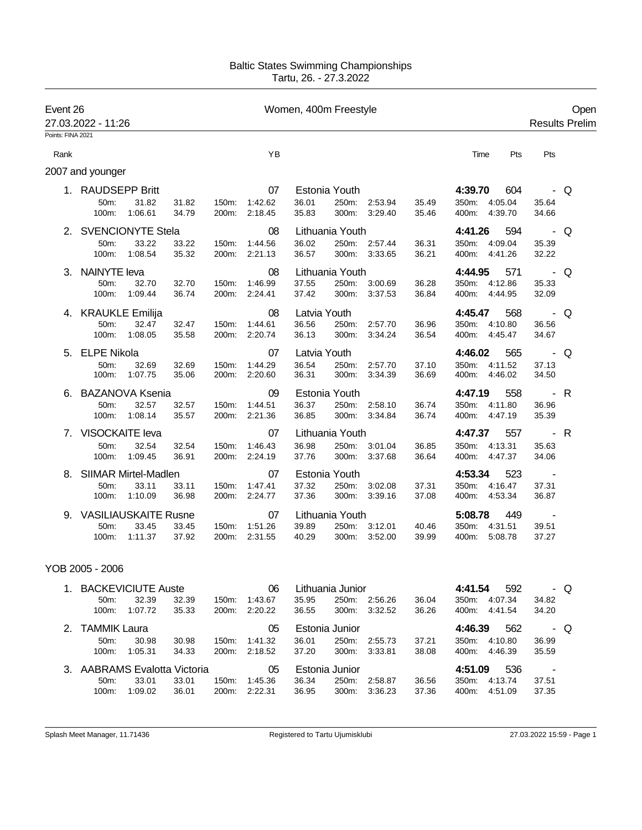## Baltic States Swimming Championships Tartu, 26. - 27.3.2022

| Event 26<br>27.03.2022 - 11:26 |                                                       |                  |                | Women, 400m Freestyle |                          |                                |                                   |                                |                |                                                        |                              |     |  |
|--------------------------------|-------------------------------------------------------|------------------|----------------|-----------------------|--------------------------|--------------------------------|-----------------------------------|--------------------------------|----------------|--------------------------------------------------------|------------------------------|-----|--|
| Points: FINA 2021              |                                                       |                  |                |                       |                          |                                |                                   |                                |                |                                                        |                              |     |  |
| Rank                           |                                                       |                  |                |                       | YB                       |                                |                                   |                                |                | Time<br>Pts                                            | Pts                          |     |  |
|                                | 2007 and younger                                      |                  |                |                       |                          |                                |                                   |                                |                |                                                        |                              |     |  |
|                                | 1. RAUDSEPP Britt                                     |                  |                |                       | 07                       |                                | Estonia Youth                     |                                |                | 4:39.70<br>604                                         |                              | - Q |  |
|                                | 50m:<br>100m:                                         | 31.82<br>1:06.61 | 31.82<br>34.79 | 150m:<br>200m:        | 1:42.62<br>2:18.45       | 36.01<br>35.83                 | 250m:<br>300m:                    | 2:53.94<br>3:29.40             | 35.49<br>35.46 | 4:05.04<br>350m:<br>400m:<br>4:39.70                   | 35.64<br>34.66               |     |  |
| 2. SVENCIONYTE Stela           |                                                       |                  |                |                       | 08                       |                                | Lithuania Youth                   |                                |                | 4:41.26<br>594                                         |                              | - Q |  |
|                                | 50m:<br>100m:                                         | 33.22<br>1:08.54 | 33.22<br>35.32 | 150m:<br>200m:        | 1:44.56<br>2:21.13       | 36.02<br>36.57                 |                                   | 250m: 2:57.44<br>300m: 3:33.65 | 36.31<br>36.21 | 350m: 4:09.04<br>400m:<br>4:41.26                      | 35.39<br>32.22               |     |  |
| 3.                             | <b>NAINYTE leva</b><br>50 <sub>m</sub> :<br>100m:     | 32.70<br>1:09.44 | 32.70<br>36.74 | 150m:<br>200m:        | 08<br>1:46.99<br>2:24.41 | 37.55<br>37.42                 | Lithuania Youth<br>300m:          | 250m: 3:00.69<br>3:37.53       | 36.28<br>36.84 | 4:44.95<br>571<br>350m:<br>4:12.86<br>400m:<br>4:44.95 | 35.33<br>32.09               | - Q |  |
|                                | 4. KRAUKLE Emilija<br>50m:<br>100m:                   | 32.47<br>1:08.05 | 32.47<br>35.58 | 150m:<br>200m:        | 08<br>1:44.61<br>2:20.74 | Latvia Youth<br>36.56<br>36.13 | 250m:<br>300m:                    | 2:57.70<br>3:34.24             | 36.96<br>36.54 | 4:45.47<br>568<br>350m:<br>4:10.80<br>400m:<br>4:45.47 | 36.56<br>34.67               | - Q |  |
| 5. ELPE Nikola                 |                                                       |                  |                | 07                    | Latvia Youth             |                                |                                   |                                | 4:46.02<br>565 | . Q                                                    |                              |     |  |
|                                | 50m:<br>100m:                                         | 32.69<br>1:07.75 | 32.69<br>35.06 | 150m:<br>200m:        | 1:44.29<br>2:20.60       | 36.54<br>36.31                 | 250m:<br>300m:                    | 2:57.70<br>3:34.39             | 37.10<br>36.69 | 4:11.52<br>350m:<br>4:46.02<br>400m:                   | 37.13<br>34.50               |     |  |
| 6.                             | <b>BAZANOVA Ksenia</b><br>50m:<br>100m:               | 32.57<br>1:08.14 | 32.57<br>35.57 | 150m:<br>200m:        | 09<br>1:44.51<br>2:21.36 | 36.37<br>36.85                 | Estonia Youth<br>250m:<br>300m:   | 2:58.10<br>3:34.84             | 36.74<br>36.74 | 558<br>4:47.19<br>350m:<br>4:11.80<br>400m:<br>4:47.19 | – R<br>36.96<br>35.39        |     |  |
| $7_{\scriptscriptstyle{\sim}}$ | <b>VISOCKAITE leva</b><br>50m:<br>100m:               | 32.54<br>1:09.45 | 32.54<br>36.91 | 150m:<br>200m:        | 07<br>1:46.43<br>2:24.19 | 36.98<br>37.76                 | Lithuania Youth<br>300m:          | 250m: 3:01.04<br>3:37.68       | 36.85<br>36.64 | 4:47.37<br>557<br>350m:<br>4:13.31<br>400m:<br>4:47.37 | 35.63<br>34.06               | - R |  |
|                                | 8. SIIMAR Mirtel-Madlen<br>50 <sub>m</sub> :<br>100m: | 33.11<br>1:10.09 | 33.11<br>36.98 | 150m:<br>200m:        | 07<br>1:47.41<br>2:24.77 | 37.32<br>37.36                 | Estonia Youth<br>250m:<br>300m:   | 3:02.08<br>3:39.16             | 37.31<br>37.08 | 4:53.34<br>523<br>350m:<br>4:16.47<br>400m:<br>4:53.34 | $\sim$ $-$<br>37.31<br>36.87 |     |  |
|                                | 9. VASILIAUSKAITE Rusne<br>50m:<br>100m:              | 33.45<br>1:11.37 | 33.45<br>37.92 | 150m:<br>200m:        | 07<br>1:51.26<br>2:31.55 | 39.89<br>40.29                 | Lithuania Youth<br>250m:<br>300m: | 3:12.01<br>3:52.00             | 40.46<br>39.99 | 5:08.78<br>449<br>350m:<br>4:31.51<br>5:08.78<br>400m: | 39.51<br>37.27               |     |  |

## YOB 2005 - 2006

| $\mathbf{1}$ | BACKEVICIUTE Auste           |         |       |                    | 06      |       | Lithuania Junior |         | 4:41.54        | 592      | - Q     |       |  |
|--------------|------------------------------|---------|-------|--------------------|---------|-------|------------------|---------|----------------|----------|---------|-------|--|
|              | $50m$ :                      | 32.39   | 32.39 | 150m:              | 1:43.67 | 35.95 | 250m:            | 2:56.26 | 36.04          | $350m$ : | 4:07.34 | 34.82 |  |
|              | $100m$ :                     | 1:07.72 | 35.33 | 200m:              | 2:20.22 | 36.55 | $300m$ :         | 3:32.52 | 36.26          | 400m:    | 4:41.54 | 34.20 |  |
| 2.           | <b>TAMMIK Laura</b>          |         |       |                    | 05      |       | Estonia Junior   |         | 562<br>4:46.39 |          |         | - Q   |  |
|              | $50m$ :                      | 30.98   | 30.98 | $150m$ :           | 1:41.32 | 36.01 | 250m:            | 2:55.73 | 37.21          | $350m$ : | 4:10.80 | 36.99 |  |
|              | $100m$ :                     | 1:05.31 | 34.33 | 200m:              | 2:18.52 | 37.20 | $300m$ :         | 3:33.81 | 38.08          | 400m:    | 4:46.39 | 35.59 |  |
|              | 3. AABRAMS Evalotta Victoria | 05      |       | Estonia Junior     |         |       | 4:51.09          | 536     |                |          |         |       |  |
|              | $50m$ :                      | 33.01   | 33.01 | $150m$ :           | 1:45.36 | 36.34 | 250m:            | 2:58.87 | 36.56          | $350m$ : | 4:13.74 | 37.51 |  |
|              | $100m$ :                     | 1:09.02 | 36.01 | 200 <sub>m</sub> : | 2:22.31 | 36.95 | $300m$ :         | 3:36.23 | 37.36          | 400m:    | 4:51.09 | 37.35 |  |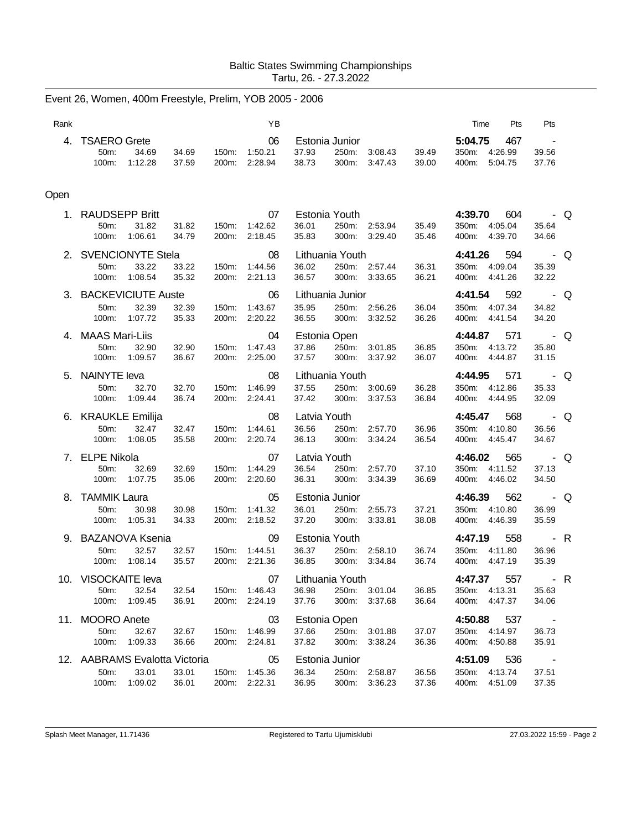## Baltic States Swimming Championships Tartu, 26. - 27.3.2022

| Rank |                                                                    |                |                | YB                             |                                |                                   |                                |                | Time                                      | Pts                       | Pts                                            |     |
|------|--------------------------------------------------------------------|----------------|----------------|--------------------------------|--------------------------------|-----------------------------------|--------------------------------|----------------|-------------------------------------------|---------------------------|------------------------------------------------|-----|
|      | 4. TSAERO Grete<br>50m:<br>34.69<br>$100m$ :<br>1:12.28            | 34.69<br>37.59 | 200m:          | 06<br>150m: 1:50.21<br>2:28.94 | 37.93<br>38.73                 | Estonia Junior<br>250m:<br>300m:  | 3:08.43<br>3:47.43             | 39.49<br>39.00 | 5:04.75<br>350m: 4:26.99<br>400m:         | 467<br>5:04.75            | 39.56<br>37.76                                 |     |
| Open |                                                                    |                |                |                                |                                |                                   |                                |                |                                           |                           |                                                |     |
|      | 1. RAUDSEPP Britt<br>50m:<br>31.82<br>100m:<br>1:06.61             | 31.82<br>34.79 | 150m:<br>200m: | 07<br>1:42.62<br>2:18.45       | 36.01<br>35.83                 | Estonia Youth<br>300m:            | 250m: 2:53.94<br>3:29.40       | 35.49<br>35.46 | 4:39.70<br>350m: 4:05.04<br>400m: 4:39.70 | 604                       | . Q<br>35.64<br>34.66                          |     |
|      | 2. SVENCIONYTE Stela<br>33.22<br>50m:<br>100m:<br>1:08.54          | 33.22<br>35.32 | 150m:          | 08<br>1:44.56<br>200m: 2:21.13 | 36.02<br>36.57                 | Lithuania Youth                   | 250m: 2:57.44<br>300m: 3:33.65 | 36.31<br>36.21 | 4:41.26<br>350m: 4:09.04<br>400m: 4:41.26 | 594                       | $\overline{\phantom{a}}$ - Q<br>35.39<br>32.22 |     |
|      | 3. BACKEVICIUTE Auste<br>50m:<br>32.39<br>100m:<br>1:07.72         | 32.39<br>35.33 | 150m:<br>200m: | 06<br>1:43.67<br>2:20.22       | 35.95<br>36.55                 | Lithuania Junior                  | 250m: 2:56.26<br>300m: 3:32.52 | 36.04<br>36.26 | 4:41.54<br>350m:<br>400m: 4:41.54         | 592<br>4:07.34            | $\overline{\phantom{a}}$ - Q<br>34.82<br>34.20 |     |
|      | 4. MAAS Mari-Liis<br>50m:<br>32.90<br>100m:<br>1:09.57             | 32.90<br>36.67 | 150m:          | 04<br>1:47.43<br>200m: 2:25.00 | 37.86<br>37.57                 | Estonia Open<br>250m:<br>300m:    | 3:01.85<br>3:37.92             | 36.85<br>36.07 | 4:44.87<br>350m: 4:13.72<br>400m:         | 571<br>4:44.87            | $\overline{\phantom{a}}$ . Q<br>35.80<br>31.15 |     |
|      | 5. NAINYTE leva<br>50m:<br>32.70<br>$100m$ :<br>1:09.44            | 32.70<br>36.74 | 150m:<br>200m: | 08<br>1:46.99<br>2:24.41       | 37.55<br>37.42                 | Lithuania Youth<br>250m:<br>300m: | 3:00.69<br>3:37.53             | 36.28<br>36.84 | 4:44.95<br>350m:<br>400m:                 | 571<br>4:12.86<br>4:44.95 | 35.33<br>32.09                                 | - Q |
|      | 6. KRAUKLE Emilija<br>50m:<br>32.47<br>100m:<br>1:08.05            | 32.47<br>35.58 | 150m:          | 08<br>1:44.61<br>200m: 2:20.74 | Latvia Youth<br>36.56<br>36.13 | 250m:<br>300m:                    | 2:57.70<br>3:34.24             | 36.96<br>36.54 | 4:45.47<br>350m: 4:10.80<br>400m: 4:45.47 | 568                       | $\overline{\phantom{a}}$ - Q<br>36.56<br>34.67 |     |
|      | 7. ELPE Nikola<br>50m:<br>32.69<br>100m:<br>1:07.75                | 32.69<br>35.06 | 150m:<br>200m: | 07<br>1:44.29<br>2:20.60       | Latvia Youth<br>36.54<br>36.31 | 250m:<br>300m:                    | 2:57.70<br>3:34.39             | 37.10<br>36.69 | 4:46.02<br>350m:<br>400m: 4:46.02         | 565<br>4:11.52            | $\overline{\phantom{a}}$ - Q<br>37.13<br>34.50 |     |
|      | 8. TAMMIK Laura<br>50m:<br>30.98<br>100m:<br>1:05.31               | 30.98<br>34.33 | 150m:<br>200m: | 05<br>1:41.32<br>2:18.52       | 36.01<br>37.20                 | Estonia Junior<br>250m:<br>300m:  | 2:55.73<br>3:33.81             | 37.21<br>38.08 | 4:46.39<br>350m: 4:10.80<br>400m: 4:46.39 | 562                       | $\overline{\phantom{a}}$ . Q<br>36.99<br>35.59 |     |
| 9.   | <b>BAZANOVA Ksenia</b><br>50m:<br>32.57<br>1:08.14<br>100m:        | 32.57<br>35.57 | 150m:<br>200m: | 09<br>1:44.51<br>2:21.36       | 36.37<br>36.85                 | Estonia Youth<br>250m:<br>300m:   | 2:58.10<br>3:34.84             | 36.74<br>36.74 | 4:47.19<br>350m:<br>400m:                 | 558<br>4:11.80<br>4:47.19 | 36.96<br>35.39                                 | - R |
|      | 10. VISOCKAITE leva<br>50m:<br>32.54<br>100m:<br>1:09.45           | 32.54<br>36.91 | 150m:<br>200m: | 07<br>1:46.43<br>2:24.19       | 36.98<br>37.76                 | Lithuania Youth<br>300m:          | 250m: 3:01.04<br>3:37.68       | 36.85<br>36.64 | 4:47.37<br>350m: 4:13.31<br>400m:         | 557<br>4:47.37            | . R<br>35.63<br>34.06                          |     |
|      | 11. MOORO Anete<br>50m:<br>32.67<br>100m:<br>1:09.33               | 32.67<br>36.66 | 150m:<br>200m: | 03<br>1:46.99<br>2:24.81       | 37.66<br>37.82                 | Estonia Open<br>250m:<br>300m:    | 3:01.88<br>3:38.24             | 37.07<br>36.36 | 4:50.88<br>350m:<br>400m:                 | 537<br>4:14.97<br>4:50.88 | 36.73<br>35.91                                 |     |
|      | 12. AABRAMS Evalotta Victoria<br>50m:<br>33.01<br>100m:<br>1:09.02 | 33.01<br>36.01 | 150m:<br>200m: | 05<br>1:45.36<br>2:22.31       | 36.34<br>36.95                 | Estonia Junior<br>250m:           | 2:58.87<br>300m: 3:36.23       | 36.56<br>37.36 | 4:51.09<br>350m: 4:13.74<br>400m: 4:51.09 | 536                       | $\sim$<br>37.51<br>37.35                       |     |